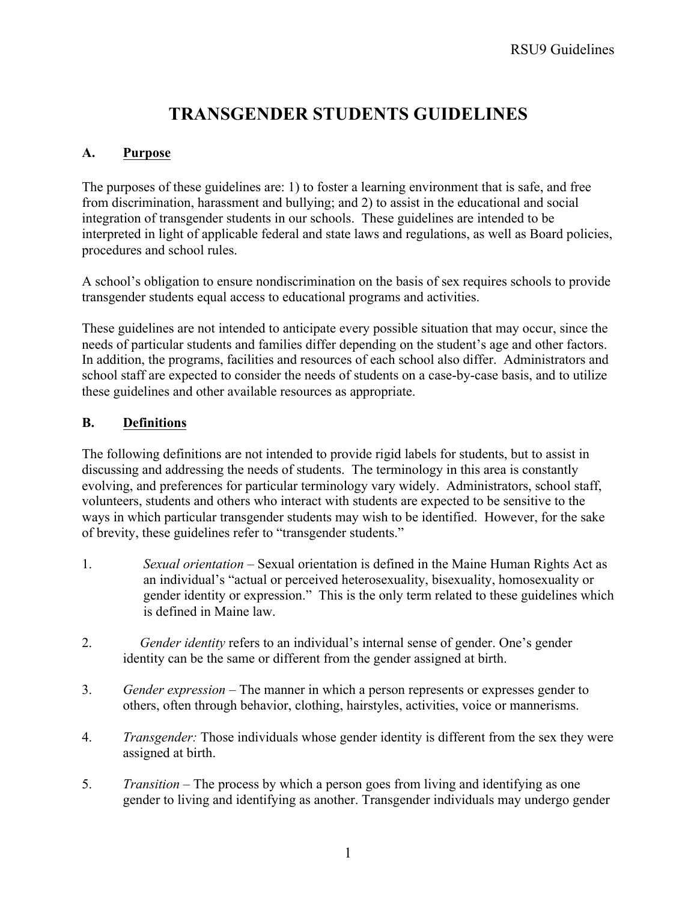# **TRANSGENDER STUDENTS GUIDELINES**

# **A. Purpose**

The purposes of these guidelines are: 1) to foster a learning environment that is safe, and free from discrimination, harassment and bullying; and 2) to assist in the educational and social integration of transgender students in our schools. These guidelines are intended to be interpreted in light of applicable federal and state laws and regulations, as well as Board policies, procedures and school rules.

A school's obligation to ensure nondiscrimination on the basis of sex requires schools to provide transgender students equal access to educational programs and activities.

These guidelines are not intended to anticipate every possible situation that may occur, since the needs of particular students and families differ depending on the student's age and other factors. In addition, the programs, facilities and resources of each school also differ. Administrators and school staff are expected to consider the needs of students on a case-by-case basis, and to utilize these guidelines and other available resources as appropriate.

# **B. Definitions**

The following definitions are not intended to provide rigid labels for students, but to assist in discussing and addressing the needs of students. The terminology in this area is constantly evolving, and preferences for particular terminology vary widely. Administrators, school staff, volunteers, students and others who interact with students are expected to be sensitive to the ways in which particular transgender students may wish to be identified. However, for the sake of brevity, these guidelines refer to "transgender students."

- 1. *Sexual orientation –* Sexual orientation is defined in the Maine Human Rights Act as an individual's "actual or perceived heterosexuality, bisexuality, homosexuality or gender identity or expression." This is the only term related to these guidelines which is defined in Maine law.
- 2. *Gender identity* refers to an individual's internal sense of gender. One's gender identity can be the same or different from the gender assigned at birth.
- 3. *Gender expression –* The manner in which a person represents or expresses gender to others, often through behavior, clothing, hairstyles, activities, voice or mannerisms.
- 4. *Transgender:* Those individuals whose gender identity is different from the sex they were assigned at birth.
- 5. *Transition –* The process by which a person goes from living and identifying as one gender to living and identifying as another. Transgender individuals may undergo gender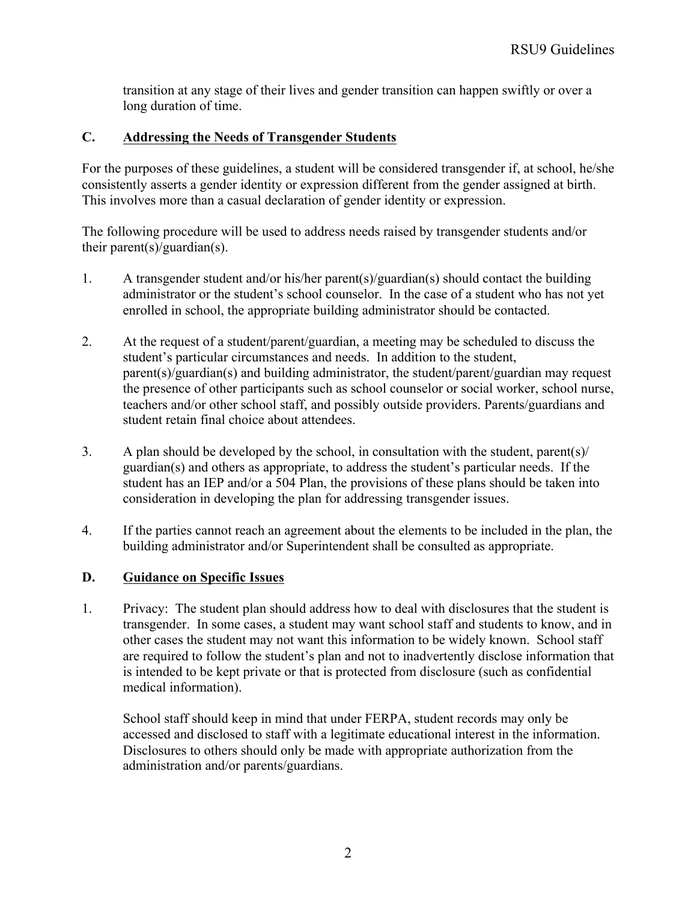transition at any stage of their lives and gender transition can happen swiftly or over a long duration of time.

## **C. Addressing the Needs of Transgender Students**

For the purposes of these guidelines, a student will be considered transgender if, at school, he/she consistently asserts a gender identity or expression different from the gender assigned at birth. This involves more than a casual declaration of gender identity or expression.

The following procedure will be used to address needs raised by transgender students and/or their parent(s)/guardian(s).

- 1. A transgender student and/or his/her parent(s)/guardian(s) should contact the building administrator or the student's school counselor. In the case of a student who has not yet enrolled in school, the appropriate building administrator should be contacted.
- 2. At the request of a student/parent/guardian, a meeting may be scheduled to discuss the student's particular circumstances and needs. In addition to the student, parent(s)/guardian(s) and building administrator, the student/parent/guardian may request the presence of other participants such as school counselor or social worker, school nurse, teachers and/or other school staff, and possibly outside providers. Parents/guardians and student retain final choice about attendees.
- 3. A plan should be developed by the school, in consultation with the student, parent(s)/ guardian(s) and others as appropriate, to address the student's particular needs. If the student has an IEP and/or a 504 Plan, the provisions of these plans should be taken into consideration in developing the plan for addressing transgender issues.
- 4. If the parties cannot reach an agreement about the elements to be included in the plan, the building administrator and/or Superintendent shall be consulted as appropriate.

## **D. Guidance on Specific Issues**

1. Privacy: The student plan should address how to deal with disclosures that the student is transgender. In some cases, a student may want school staff and students to know, and in other cases the student may not want this information to be widely known. School staff are required to follow the student's plan and not to inadvertently disclose information that is intended to be kept private or that is protected from disclosure (such as confidential medical information).

School staff should keep in mind that under FERPA, student records may only be accessed and disclosed to staff with a legitimate educational interest in the information. Disclosures to others should only be made with appropriate authorization from the administration and/or parents/guardians.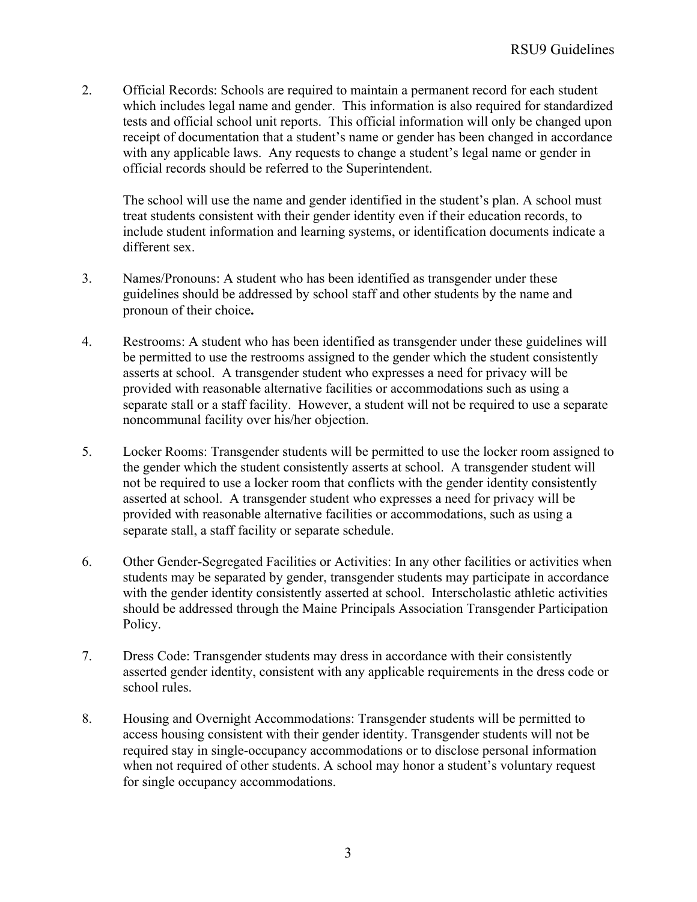2. Official Records: Schools are required to maintain a permanent record for each student which includes legal name and gender. This information is also required for standardized tests and official school unit reports. This official information will only be changed upon receipt of documentation that a student's name or gender has been changed in accordance with any applicable laws. Any requests to change a student's legal name or gender in official records should be referred to the Superintendent.

The school will use the name and gender identified in the student's plan. A school must treat students consistent with their gender identity even if their education records, to include student information and learning systems, or identification documents indicate a different sex.

- 3. Names/Pronouns: A student who has been identified as transgender under these guidelines should be addressed by school staff and other students by the name and pronoun of their choice**.**
- 4. Restrooms: A student who has been identified as transgender under these guidelines will be permitted to use the restrooms assigned to the gender which the student consistently asserts at school. A transgender student who expresses a need for privacy will be provided with reasonable alternative facilities or accommodations such as using a separate stall or a staff facility. However, a student will not be required to use a separate noncommunal facility over his/her objection.
- 5. Locker Rooms: Transgender students will be permitted to use the locker room assigned to the gender which the student consistently asserts at school. A transgender student will not be required to use a locker room that conflicts with the gender identity consistently asserted at school. A transgender student who expresses a need for privacy will be provided with reasonable alternative facilities or accommodations, such as using a separate stall, a staff facility or separate schedule.
- 6. Other Gender-Segregated Facilities or Activities: In any other facilities or activities when students may be separated by gender, transgender students may participate in accordance with the gender identity consistently asserted at school. Interscholastic athletic activities should be addressed through the Maine Principals Association Transgender Participation Policy.
- 7. Dress Code: Transgender students may dress in accordance with their consistently asserted gender identity, consistent with any applicable requirements in the dress code or school rules.
- 8. Housing and Overnight Accommodations: Transgender students will be permitted to access housing consistent with their gender identity. Transgender students will not be required stay in single-occupancy accommodations or to disclose personal information when not required of other students. A school may honor a student's voluntary request for single occupancy accommodations.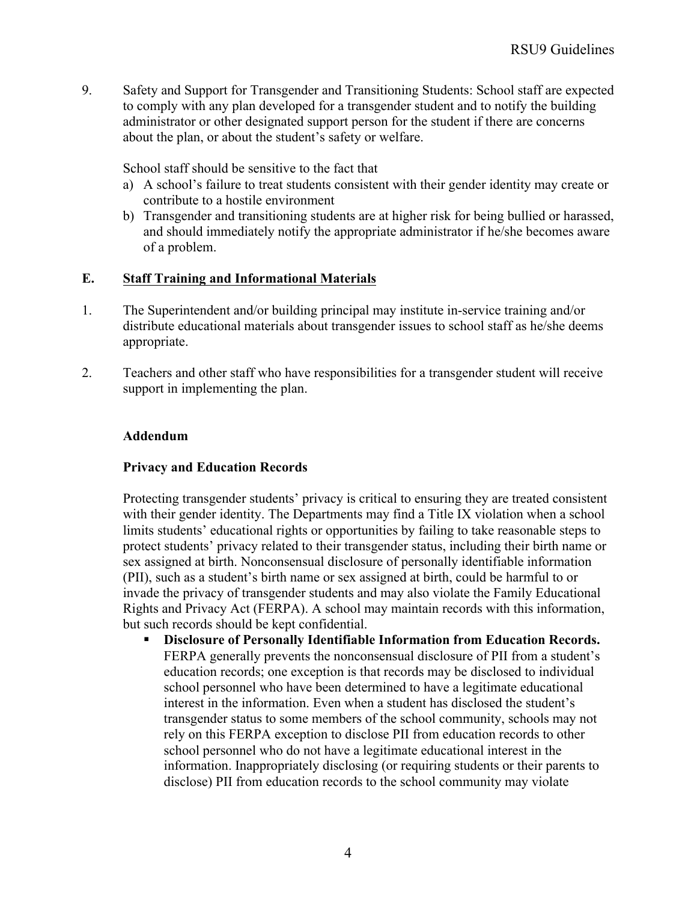9. Safety and Support for Transgender and Transitioning Students: School staff are expected to comply with any plan developed for a transgender student and to notify the building administrator or other designated support person for the student if there are concerns about the plan, or about the student's safety or welfare.

School staff should be sensitive to the fact that

- a) A school's failure to treat students consistent with their gender identity may create or contribute to a hostile environment
- b) Transgender and transitioning students are at higher risk for being bullied or harassed, and should immediately notify the appropriate administrator if he/she becomes aware of a problem.

### **E. Staff Training and Informational Materials**

- 1. The Superintendent and/or building principal may institute in-service training and/or distribute educational materials about transgender issues to school staff as he/she deems appropriate.
- 2. Teachers and other staff who have responsibilities for a transgender student will receive support in implementing the plan.

### **Addendum**

#### **Privacy and Education Records**

Protecting transgender students' privacy is critical to ensuring they are treated consistent with their gender identity. The Departments may find a Title IX violation when a school limits students' educational rights or opportunities by failing to take reasonable steps to protect students' privacy related to their transgender status, including their birth name or sex assigned at birth. Nonconsensual disclosure of personally identifiable information (PII), such as a student's birth name or sex assigned at birth, could be harmful to or invade the privacy of transgender students and may also violate the Family Educational Rights and Privacy Act (FERPA). A school may maintain records with this information, but such records should be kept confidential.

§ **Disclosure of Personally Identifiable Information from Education Records.** FERPA generally prevents the nonconsensual disclosure of PII from a student's education records; one exception is that records may be disclosed to individual school personnel who have been determined to have a legitimate educational interest in the information. Even when a student has disclosed the student's transgender status to some members of the school community, schools may not rely on this FERPA exception to disclose PII from education records to other school personnel who do not have a legitimate educational interest in the information. Inappropriately disclosing (or requiring students or their parents to disclose) PII from education records to the school community may violate